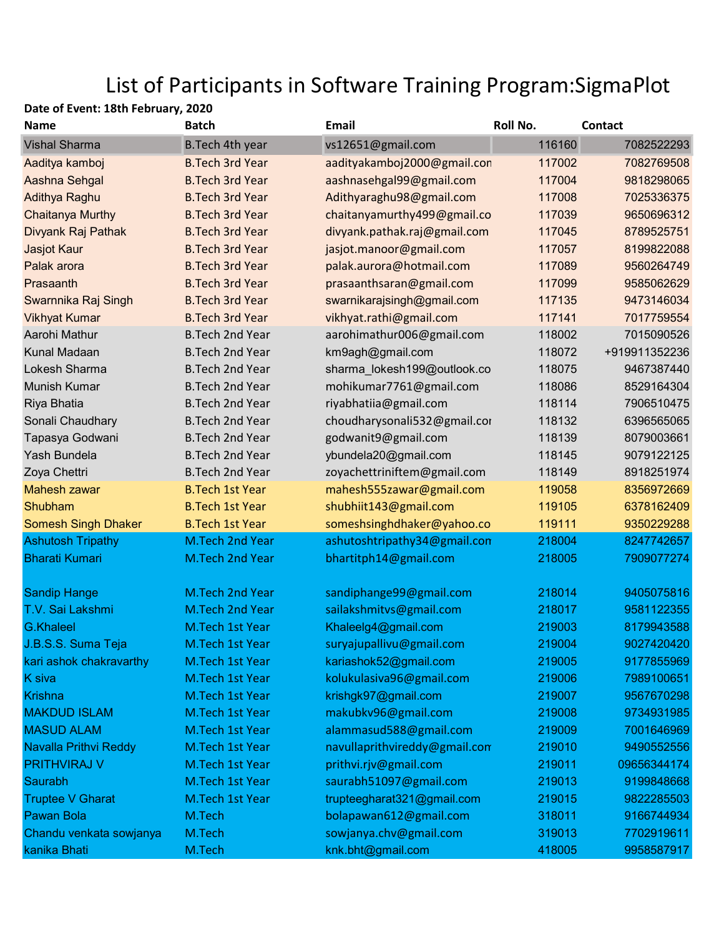## List of Participants in Software Training Program:SigmaPlot

## Date of Event: 18th February, 2020

| <b>Name</b>                  | <b>Batch</b>           | Email                         | Roll No. | <b>Contact</b> |
|------------------------------|------------------------|-------------------------------|----------|----------------|
| <b>Vishal Sharma</b>         | B. Tech 4th year       | vs12651@gmail.com             | 116160   | 7082522293     |
| Aaditya kamboj               | <b>B.Tech 3rd Year</b> | aadityakamboj2000@gmail.con   | 117002   | 7082769508     |
| Aashna Sehgal                | <b>B.Tech 3rd Year</b> | aashnasehgal99@gmail.com      | 117004   | 9818298065     |
| Adithya Raghu                | <b>B.Tech 3rd Year</b> | Adithyaraghu98@gmail.com      | 117008   | 7025336375     |
| <b>Chaitanya Murthy</b>      | <b>B.Tech 3rd Year</b> | chaitanyamurthy499@gmail.co   | 117039   | 9650696312     |
| Divyank Raj Pathak           | <b>B.Tech 3rd Year</b> | divyank.pathak.raj@gmail.com  | 117045   | 8789525751     |
| Jasjot Kaur                  | <b>B.Tech 3rd Year</b> | jasjot.manoor@gmail.com       | 117057   | 8199822088     |
| Palak arora                  | <b>B.Tech 3rd Year</b> | palak.aurora@hotmail.com      | 117089   | 9560264749     |
| Prasaanth                    | <b>B.Tech 3rd Year</b> | prasaanthsaran@gmail.com      | 117099   | 9585062629     |
| Swarnnika Raj Singh          | <b>B.Tech 3rd Year</b> | swarnikarajsingh@gmail.com    | 117135   | 9473146034     |
| <b>Vikhyat Kumar</b>         | <b>B.Tech 3rd Year</b> | vikhyat.rathi@gmail.com       | 117141   | 7017759554     |
| Aarohi Mathur                | <b>B.Tech 2nd Year</b> | aarohimathur006@gmail.com     | 118002   | 7015090526     |
| Kunal Madaan                 | <b>B.Tech 2nd Year</b> | km9agh@gmail.com              | 118072   | +919911352236  |
| Lokesh Sharma                | <b>B.Tech 2nd Year</b> | sharma_lokesh199@outlook.co   | 118075   | 9467387440     |
| Munish Kumar                 | <b>B.Tech 2nd Year</b> | mohikumar7761@gmail.com       | 118086   | 8529164304     |
| Riya Bhatia                  | <b>B.Tech 2nd Year</b> | riyabhatiia@gmail.com         | 118114   | 7906510475     |
| Sonali Chaudhary             | <b>B.Tech 2nd Year</b> | choudharysonali532@gmail.cor  | 118132   | 6396565065     |
| Tapasya Godwani              | <b>B.Tech 2nd Year</b> | godwanit9@gmail.com           | 118139   | 8079003661     |
| Yash Bundela                 | <b>B.Tech 2nd Year</b> | ybundela20@gmail.com          | 118145   | 9079122125     |
| Zoya Chettri                 | <b>B.Tech 2nd Year</b> | zoyachettriniftem@gmail.com   | 118149   | 8918251974     |
| Mahesh zawar                 | <b>B.Tech 1st Year</b> | mahesh555zawar@gmail.com      | 119058   | 8356972669     |
| Shubham                      | <b>B.Tech 1st Year</b> | shubhiit143@gmail.com         | 119105   | 6378162409     |
| <b>Somesh Singh Dhaker</b>   | <b>B.Tech 1st Year</b> | someshsinghdhaker@yahoo.co    | 119111   | 9350229288     |
| <b>Ashutosh Tripathy</b>     | M.Tech 2nd Year        | ashutoshtripathy34@gmail.con  | 218004   | 8247742657     |
| <b>Bharati Kumari</b>        | M.Tech 2nd Year        | bhartitph14@gmail.com         | 218005   | 7909077274     |
| <b>Sandip Hange</b>          | M.Tech 2nd Year        | sandiphange99@gmail.com       | 218014   | 9405075816     |
| T.V. Sai Lakshmi             | M.Tech 2nd Year        | sailakshmitvs@gmail.com       | 218017   | 9581122355     |
| <b>G.Khaleel</b>             | M.Tech 1st Year        | Khaleelg4@gmail.com           | 219003   | 8179943588     |
| J.B.S.S. Suma Teja           | M.Tech 1st Year        | suryajupallivu@gmail.com      | 219004   | 9027420420     |
| kari ashok chakravarthy      | M.Tech 1st Year        | kariashok52@gmail.com         | 219005   | 9177855969     |
| K siva                       | M.Tech 1st Year        | kolukulasiva96@gmail.com      | 219006   | 7989100651     |
| <b>Krishna</b>               | M.Tech 1st Year        | krishgk97@gmail.com           | 219007   | 9567670298     |
| <b>MAKDUD ISLAM</b>          | M.Tech 1st Year        | makubkv96@gmail.com           | 219008   | 9734931985     |
| <b>MASUD ALAM</b>            | M.Tech 1st Year        | alammasud588@gmail.com        | 219009   | 7001646969     |
| <b>Navalla Prithvi Reddy</b> | M.Tech 1st Year        | navullaprithvireddy@gmail.com | 219010   | 9490552556     |
| <b>PRITHVIRAJ V</b>          | M.Tech 1st Year        | prithvi.rjv@gmail.com         | 219011   | 09656344174    |
| Saurabh                      | M.Tech 1st Year        | saurabh51097@gmail.com        | 219013   | 9199848668     |
| <b>Truptee V Gharat</b>      | M.Tech 1st Year        | trupteegharat321@gmail.com    | 219015   | 9822285503     |
| <b>Pawan Bola</b>            | M.Tech                 | bolapawan612@gmail.com        | 318011   | 9166744934     |
| Chandu venkata sowjanya      | M.Tech                 | sowjanya.chv@gmail.com        | 319013   | 7702919611     |
| kanika Bhati                 | M.Tech                 | knk.bht@gmail.com             | 418005   | 9958587917     |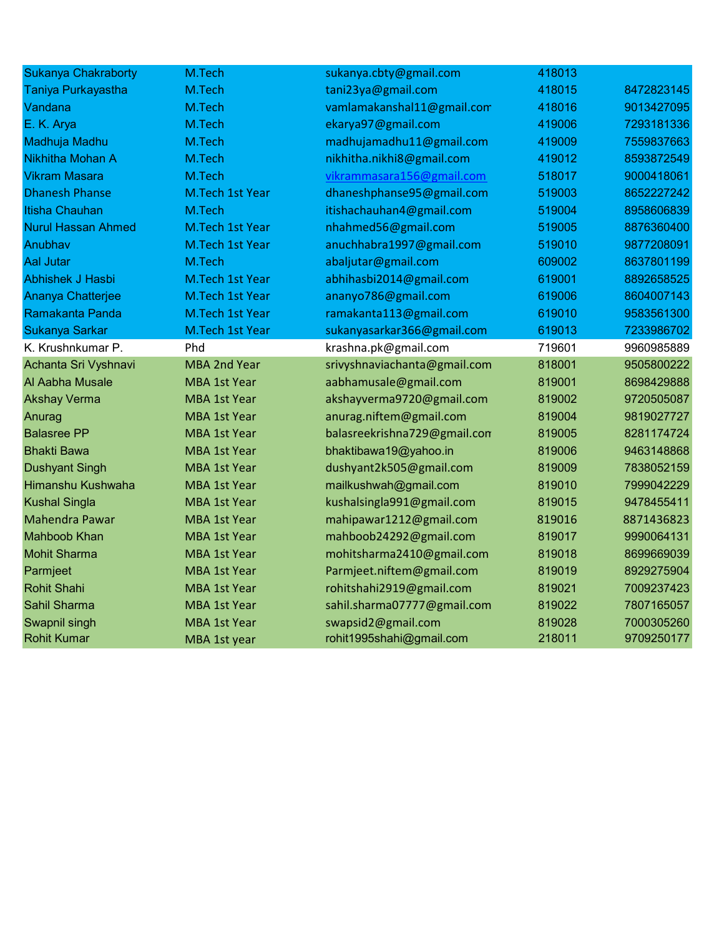| <b>Sukanya Chakraborty</b> | M.Tech              | sukanya.cbty@gmail.com       | 418013 |            |
|----------------------------|---------------------|------------------------------|--------|------------|
| Taniya Purkayastha         | M.Tech              | tani23ya@gmail.com           | 418015 | 8472823145 |
| Vandana                    | M.Tech              | vamlamakanshal11@gmail.com   | 418016 | 9013427095 |
| E. K. Arya                 | M.Tech              | ekarya97@gmail.com           | 419006 | 7293181336 |
| Madhuja Madhu              | M.Tech              | madhujamadhu11@gmail.com     | 419009 | 7559837663 |
| Nikhitha Mohan A           | M.Tech              | nikhitha.nikhi8@gmail.com    | 419012 | 8593872549 |
| <b>Vikram Masara</b>       | M.Tech              | vikrammasara156@gmail.com    | 518017 | 9000418061 |
| <b>Dhanesh Phanse</b>      | M.Tech 1st Year     | dhaneshphanse95@gmail.com    | 519003 | 8652227242 |
| Itisha Chauhan             | M.Tech              | itishachauhan4@gmail.com     | 519004 | 8958606839 |
| <b>Nurul Hassan Ahmed</b>  | M.Tech 1st Year     | nhahmed56@gmail.com          | 519005 | 8876360400 |
| Anubhav                    | M.Tech 1st Year     | anuchhabra1997@gmail.com     | 519010 | 9877208091 |
| <b>Aal Jutar</b>           | M.Tech              | abaljutar@gmail.com          | 609002 | 8637801199 |
| <b>Abhishek J Hasbi</b>    | M.Tech 1st Year     | abhihasbi2014@gmail.com      | 619001 | 8892658525 |
| Ananya Chatterjee          | M.Tech 1st Year     | ananyo786@gmail.com          | 619006 | 8604007143 |
| Ramakanta Panda            | M.Tech 1st Year     | ramakanta113@gmail.com       | 619010 | 9583561300 |
| Sukanya Sarkar             | M.Tech 1st Year     | sukanyasarkar366@gmail.com   | 619013 | 7233986702 |
| K. Krushnkumar P.          | Phd                 | krashna.pk@gmail.com         | 719601 | 9960985889 |
| Achanta Sri Vyshnavi       | <b>MBA 2nd Year</b> | srivyshnaviachanta@gmail.com | 818001 | 9505800222 |
| Al Aabha Musale            | <b>MBA 1st Year</b> | aabhamusale@gmail.com        | 819001 | 8698429888 |
| <b>Akshay Verma</b>        | <b>MBA 1st Year</b> | akshayverma9720@gmail.com    | 819002 | 9720505087 |
| Anurag                     | <b>MBA 1st Year</b> | anurag.niftem@gmail.com      | 819004 | 9819027727 |
| <b>Balasree PP</b>         | <b>MBA 1st Year</b> | balasreekrishna729@gmail.com | 819005 | 8281174724 |
| <b>Bhakti Bawa</b>         | <b>MBA 1st Year</b> | bhaktibawa19@yahoo.in        | 819006 | 9463148868 |
| <b>Dushyant Singh</b>      | <b>MBA 1st Year</b> | dushyant2k505@gmail.com      | 819009 | 7838052159 |
| Himanshu Kushwaha          | <b>MBA 1st Year</b> | mailkushwah@gmail.com        | 819010 | 7999042229 |
| <b>Kushal Singla</b>       | <b>MBA 1st Year</b> | kushalsingla991@gmail.com    | 819015 | 9478455411 |
| Mahendra Pawar             | <b>MBA 1st Year</b> | mahipawar1212@gmail.com      | 819016 | 8871436823 |
| <b>Mahboob Khan</b>        | <b>MBA 1st Year</b> | mahboob24292@gmail.com       | 819017 | 9990064131 |
| <b>Mohit Sharma</b>        | <b>MBA 1st Year</b> | mohitsharma2410@gmail.com    | 819018 | 8699669039 |
| Parmjeet                   | <b>MBA 1st Year</b> | Parmjeet.niftem@gmail.com    | 819019 | 8929275904 |
| <b>Rohit Shahi</b>         | <b>MBA 1st Year</b> | rohitshahi2919@gmail.com     | 819021 | 7009237423 |
| Sahil Sharma               | <b>MBA 1st Year</b> | sahil.sharma07777@gmail.com  | 819022 | 7807165057 |
| Swapnil singh              | <b>MBA 1st Year</b> | swapsid2@gmail.com           | 819028 | 7000305260 |
| <b>Rohit Kumar</b>         | MBA 1st year        | rohit1995shahi@gmail.com     | 218011 | 9709250177 |